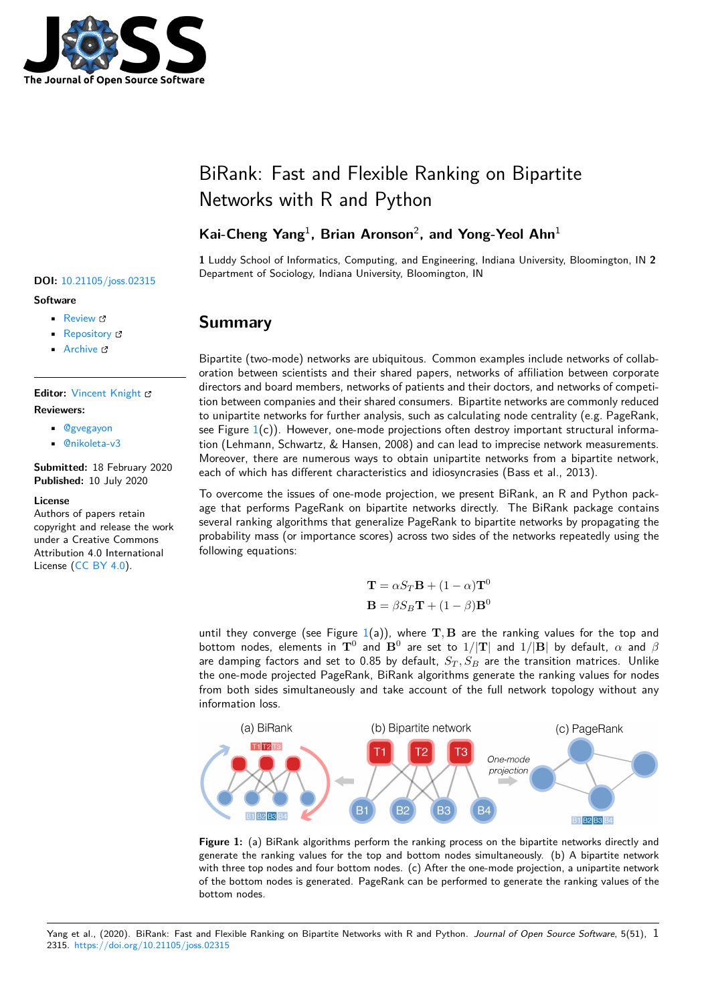

# BiRank: Fast and Flexible Ranking on Bipartite Networks with R and Python

## Kai-Cheng Yang<sup>1</sup>, Brian Aronson<sup>2</sup>, and Yong-Yeol Ahn<sup>1</sup>

**1** Luddy School of Informatics, Computing, and Engineering, Indiana University, Bloomington, IN **2** Department of Sociology, Indiana University, Bloomington, IN **DOI:** 10.21105/joss.02315

## **Summary**

Bipartite (two-mode) networks are ubiquitous. Common examples include networks of collaboration between scientists and their shared papers, networks of affiliation between corporate directors and board members, networks of patients and their doctors, and networks of competition between companies and their shared consumers. Bipartite networks are commonly reduced to unipartite networks for further analysis, such as calculating node centrality (e.g. PageRank, see Figure  $1(c)$ . However, one-mode projections often destroy important structural information (Lehmann, Schwartz, & Hansen, 2008) and can lead to imprecise network measurements. Moreover, there are numerous ways to obtain unipartite networks from a bipartite network, each of which has different characteristics and idiosyncrasies (Bass et al., 2013).

To overco[me](#page-0-0) the issues of one-mode projection, we present BiRank, an R and Python package that performs PageRank on bipartite networks directly. The BiRank package contains several ranking algorithms that generalize PageRank to bipartite networks by propagating the probability mass (or importance scores) across two sides of the networks repeatedly using the following equations:

$$
\mathbf{T} = \alpha S_T \mathbf{B} + (1 - \alpha) \mathbf{T}^0
$$

$$
\mathbf{B} = \beta S_B \mathbf{T} + (1 - \beta) \mathbf{B}^0
$$

until they converge (see Figure  $1(a)$ ), where **T**, **B** are the ranking values for the top and bottom nodes, elements in  $\mathbf{T}^0$  and  $\mathbf{B}^0$  are set to  $1/|\mathbf{T}|$  and  $1/|\mathbf{B}|$  by default,  $\alpha$  and  $\beta$ are damping factors and set to 0.85 by default,  $S_T, S_B$  are the transition matrices. Unlike the one-mode projected PageRank, BiRank algorithms generate the ranking values for nodes from both sides simultaneously [an](#page-0-0)d take account of the full network topology without any information loss.

<span id="page-0-0"></span>

**Figure 1:** (a) BiRank algorithms perform the ranking process on the bipartite networks directly and generate the ranking values for the top and bottom nodes simultaneously. (b) A bipartite network with three top nodes and four bottom nodes. (c) After the one-mode projection, a unipartite network of the bottom nodes is generated. PageRank can be performed to generate the ranking values of the bottom nodes.

#### **Software**

- Review &
- [Repository](https://doi.org/10.21105/joss.02315) &
- Archive

### **Editor:** [Vincent K](https://github.com/BrianAronson/birankr)night **Revie[wers:](https://doi.org/10.5281/zenodo.3939045)**

- - @gvegayon
	- @[nikoleta-v3](https://vknight.org)

**Submitted:** 18 February 2020 **Published:** [10 Ju](https://github.com/gvegayon)ly 2020

#### **Licen[se](https://github.com/nikoleta-v3)**

Authors of papers retain copyright and release the work under a Creative Commons Attribution 4.0 International License (CC BY 4.0).

#### Yang et al., (2020). BiRank: Fast and Flexible Ranking on Bipartite Networks with R and Python. *Journal of Open Source Software*, 5(51), 12315. https://doi.org/10.21105/joss.02315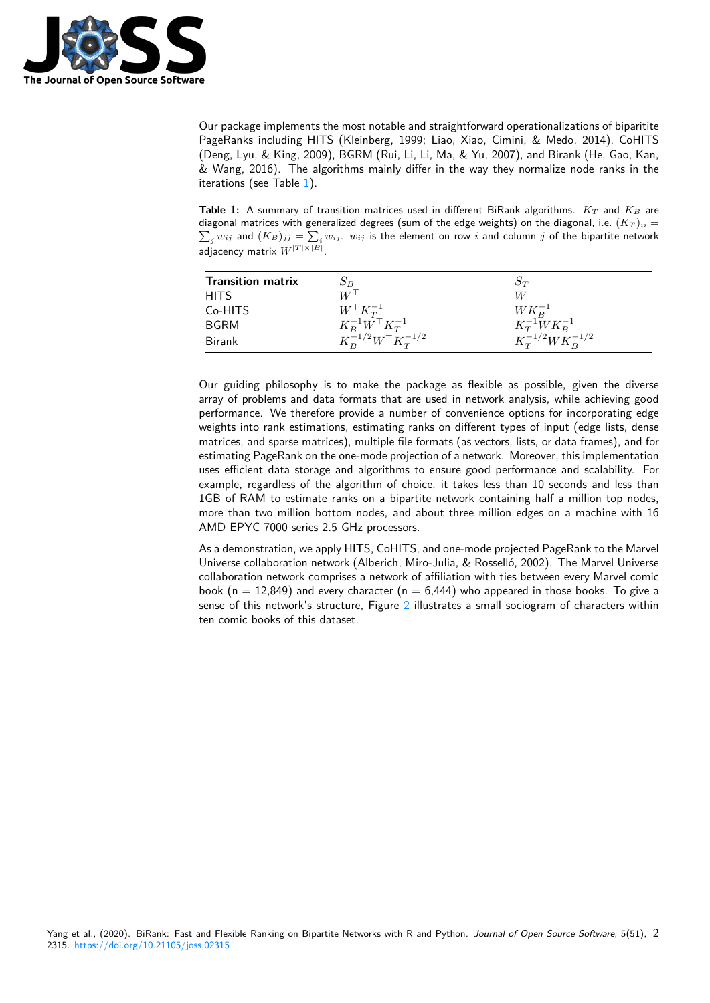

Our package implements the most notable and straightforward operationalizations of biparitite PageRanks including HITS (Kleinberg, 1999; Liao, Xiao, Cimini, & Medo, 2014), CoHITS (Deng, Lyu, & King, 2009), BGRM (Rui, Li, Li, Ma, & Yu, 2007), and Birank (He, Gao, Kan, & Wang, 2016). The algorithms mainly differ in the way they normalize node ranks in the iterations (see Table 1).

**Table 1:** A summary of transition matrices used in different BiRank algorithms. *K<sup>T</sup>* and *K<sup>B</sup>* are diagonal matrices with generalized degrees (sum of the edge weights) on the diagonal, i.e.  $(K_T)_{ii} =$  $\sum_j w_{ij}$  and  $(K_B)_{jj} = \sum_i w_{ij}$ .  $w_{ij}$  is the element on row  $i$  and column  $j$  of the bipartite network adjacency matrix  $W^{|T|\times|B|}$ .

<span id="page-1-0"></span>

| <b>Transition matrix</b> | $S_B$                                         | $S_T$                         |
|--------------------------|-----------------------------------------------|-------------------------------|
| <b>HITS</b>              | $W^\top$                                      | W                             |
| Co-HITS                  | $WTK_T^{-1}$                                  | $WK_B^{-1}$                   |
| BGRM                     | $K_R^{-1} W^{\top} K_T^{-1}$                  | $K_T^{-1}WK_R^{-1}$           |
| Birank                   | $K_{\rm p}^{-1/2} W^{\rm T} K_{\rm T}^{-1/2}$ | $K_{T}^{-1/2} W K_{P}^{-1/2}$ |

Our guiding philosophy is to make the package as flexible as possible, given the diverse array of problems and data formats that are used in network analysis, while achieving good performance. We therefore provide a number of convenience options for incorporating edge weights into rank estimations, estimating ranks on different types of input (edge lists, dense matrices, and sparse matrices), multiple file formats (as vectors, lists, or data frames), and for estimating PageRank on the one-mode projection of a network. Moreover, this implementation uses efficient data storage and algorithms to ensure good performance and scalability. For example, regardless of the algorithm of choice, it takes less than 10 seconds and less than 1GB of RAM to estimate ranks on a bipartite network containing half a million top nodes, more than two million bottom nodes, and about three million edges on a machine with 16 AMD EPYC 7000 series 2.5 GHz processors.

As a demonstration, we apply HITS, CoHITS, and one-mode projected PageRank to the Marvel Universe collaboration network (Alberich, Miro-Julia, & Rosselló, 2002). The Marvel Universe collaboration network comprises a network of affiliation with ties between every Marvel comic book (n = 12,849) and every character (n = 6,444) who appeared in those books. To give a sense of this network's structure, Figure 2 illustrates a small sociogram of characters within ten comic books of this dataset.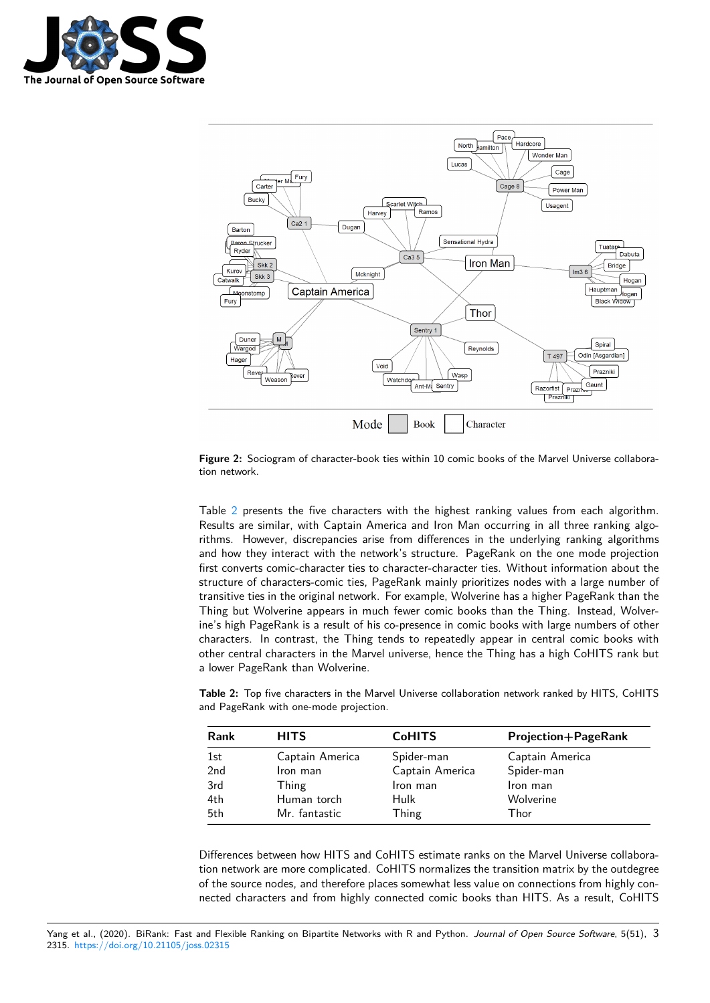



**Figure 2:** Sociogram of character-book ties within 10 comic books of the Marvel Universe collaboration network.

Table 2 presents the five characters with the highest ranking values from each algorithm. Results are similar, with Captain America and Iron Man occurring in all three ranking algorithms. However, discrepancies arise from differences in the underlying ranking algorithms and how they interact with the network's structure. PageRank on the one mode projection first c[on](#page-2-0)verts comic-character ties to character-character ties. Without information about the structure of characters-comic ties, PageRank mainly prioritizes nodes with a large number of transitive ties in the original network. For example, Wolverine has a higher PageRank than the Thing but Wolverine appears in much fewer comic books than the Thing. Instead, Wolverine's high PageRank is a result of his co-presence in comic books with large numbers of other characters. In contrast, the Thing tends to repeatedly appear in central comic books with other central characters in the Marvel universe, hence the Thing has a high CoHITS rank but a lower PageRank than Wolverine.

**Table 2:** Top five characters in the Marvel Universe collaboration network ranked by HITS, CoHITS and PageRank with one-mode projection.

<span id="page-2-0"></span>

| Rank | <b>HITS</b>     | <b>CoHITS</b>   | <b>Projection+PageRank</b> |
|------|-----------------|-----------------|----------------------------|
| 1st  | Captain America | Spider-man      | Captain America            |
| 2nd  | Iron man        | Captain America | Spider-man                 |
| 3rd  | Thing           | Iron man        | Iron man                   |
| 4th  | Human torch     | Hulk            | Wolverine                  |
| 5th  | Mr. fantastic   | Thing           | Thor                       |

Differences between how HITS and CoHITS estimate ranks on the Marvel Universe collaboration network are more complicated. CoHITS normalizes the transition matrix by the outdegree of the source nodes, and therefore places somewhat less value on connections from highly connected characters and from highly connected comic books than HITS. As a result, CoHITS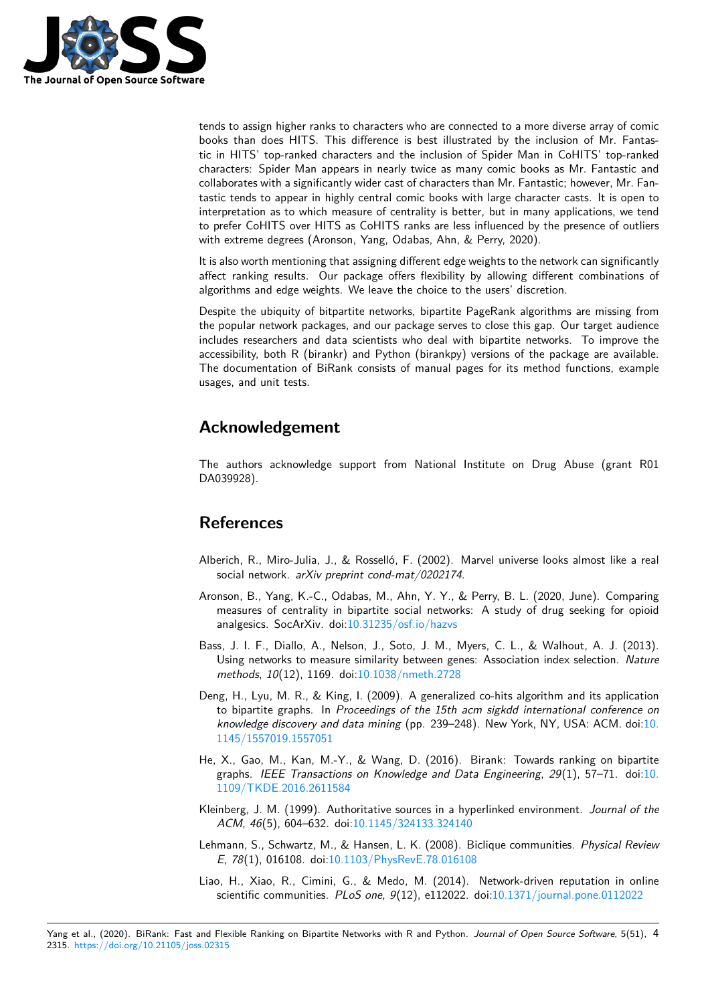

tends to assign higher ranks to characters who are connected to a more diverse array of comic books than does HITS. This difference is best illustrated by the inclusion of Mr. Fantastic in HITS' top-ranked characters and the inclusion of Spider Man in CoHITS' top-ranked characters: Spider Man appears in nearly twice as many comic books as Mr. Fantastic and collaborates with a significantly wider cast of characters than Mr. Fantastic; however, Mr. Fantastic tends to appear in highly central comic books with large character casts. It is open to interpretation as to which measure of centrality is better, but in many applications, we tend to prefer CoHITS over HITS as CoHITS ranks are less influenced by the presence of outliers with extreme degrees (Aronson, Yang, Odabas, Ahn, & Perry, 2020).

It is also worth mentioning that assigning different edge weights to the network can significantly affect ranking results. Our package offers flexibility by allowing different combinations of algorithms and edge weights. We leave the choice to the users' discretion.

Despite the ubiquity of bitpartite networks, bipartite PageRank algorithms are missing from the popular network packages, and our package serves to close this gap. Our target audience includes researchers and data scientists who deal with bipartite networks. To improve the accessibility, both R (birankr) and Python (birankpy) versions of the package are available. The documentation of BiRank consists of manual pages for its method functions, example usages, and unit tests.

## **Acknowledgement**

The authors acknowledge support from National Institute on Drug Abuse (grant R01 DA039928).

## **References**

- Alberich, R., Miro-Julia, J., & Rosselló, F. (2002). Marvel universe looks almost like a real social network. *arXiv preprint cond-mat/0202174*.
- Aronson, B., Yang, K.-C., Odabas, M., Ahn, Y. Y., & Perry, B. L. (2020, June). Comparing measures of centrality in bipartite social networks: A study of drug seeking for opioid analgesics. SocArXiv. doi:10.31235/osf.io/hazvs
- Bass, J. I. F., Diallo, A., Nelson, J., Soto, J. M., Myers, C. L., & Walhout, A. J. (2013). Using networks to measure similarity between genes: Association index selection. *Nature methods*, *10*(12), 1169. d[oi:10.1038/nmeth.2728](https://doi.org/10.31235/osf.io/hazvs)
- Deng, H., Lyu, M. R., & King, I. (2009). A generalized co-hits algorithm and its application to bipartite graphs. In *Proceedings of the 15th acm sigkdd international conference on knowledge discovery and data mining* [\(pp. 239–24](https://doi.org/10.1038/nmeth.2728)8). New York, NY, USA: ACM. doi:10. 1145/1557019.1557051
- He, X., Gao, M., Kan, M.-Y., & Wang, D. (2016). Birank: Towards ranking on bipartite graphs. *IEEE Transactions on Knowledge and Data Engineering*, *29*(1), 57–71. doi[:10.](https://doi.org/10.1145/1557019.1557051) [1109/TKDE.2016.26115](https://doi.org/10.1145/1557019.1557051)84
- Kleinberg, J. M. (1999). Authoritative sources in a hyperlinked environment. *Journal of the ACM*, *46*(5), 604–632. doi:10.1145/324133.324140
- Leh[mann, S., Schwartz, M., &](https://doi.org/10.1109/TKDE.2016.2611584) Hansen, L. K. (2008). Biclique communities. *Physical Rev[iew](https://doi.org/10.1109/TKDE.2016.2611584) E*, *78*(1), 016108. doi:10.1103/PhysRevE.78.016108
- Liao, H., Xiao, R., Cimini, G[., & Medo, M. \(2014\).](https://doi.org/10.1145/324133.324140) Network-driven reputation in online scientific communities. *PLoS one*, *9*(12), e112022. doi:10.1371/journal.pone.0112022